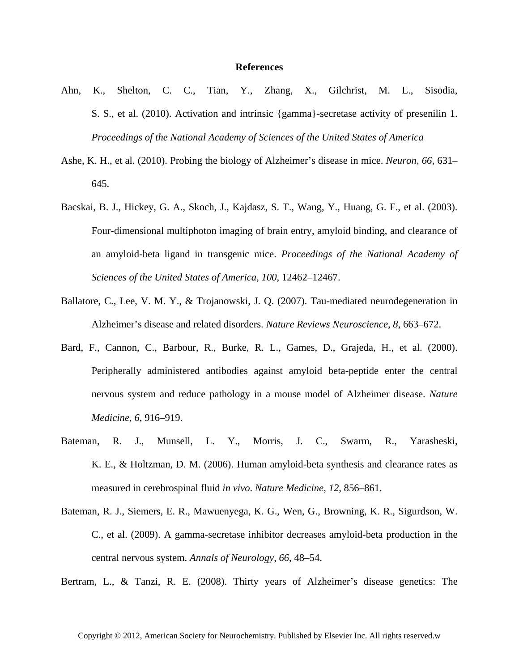## **References**

- Ahn, K., Shelton, C. C., Tian, Y., Zhang, X., Gilchrist, M. L., Sisodia, S. S., et al. (2010). Activation and intrinsic {gamma}-secretase activity of presenilin 1. *Proceedings of the National Academy of Sciences of the United States of America*
- Ashe, K. H., et al. (2010). Probing the biology of Alzheimer's disease in mice. *Neuron*, *66*, 631– 645.
- Bacskai, B. J., Hickey, G. A., Skoch, J., Kajdasz, S. T., Wang, Y., Huang, G. F., et al. (2003). Four-dimensional multiphoton imaging of brain entry, amyloid binding, and clearance of an amyloid-beta ligand in transgenic mice. *Proceedings of the National Academy of Sciences of the United States of America*, *100*, 12462–12467.
- Ballatore, C., Lee, V. M. Y., & Trojanowski, J. Q. (2007). Tau-mediated neurodegeneration in Alzheimer's disease and related disorders. *Nature Reviews Neuroscience*, *8*, 663–672.
- Bard, F., Cannon, C., Barbour, R., Burke, R. L., Games, D., Grajeda, H., et al. (2000). Peripherally administered antibodies against amyloid beta-peptide enter the central nervous system and reduce pathology in a mouse model of Alzheimer disease. *Nature Medicine*, *6*, 916–919.
- Bateman, R. J., Munsell, L. Y., Morris, J. C., Swarm, R., Yarasheski, K. E., & Holtzman, D. M. (2006). Human amyloid-beta synthesis and clearance rates as measured in cerebrospinal fluid *in vivo*. *Nature Medicine*, *12*, 856–861.
- Bateman, R. J., Siemers, E. R., Mawuenyega, K. G., Wen, G., Browning, K. R., Sigurdson, W. C., et al. (2009). A gamma-secretase inhibitor decreases amyloid-beta production in the central nervous system. *Annals of Neurology*, *66*, 48–54.

Bertram, L., & Tanzi, R. E. (2008). Thirty years of Alzheimer's disease genetics: The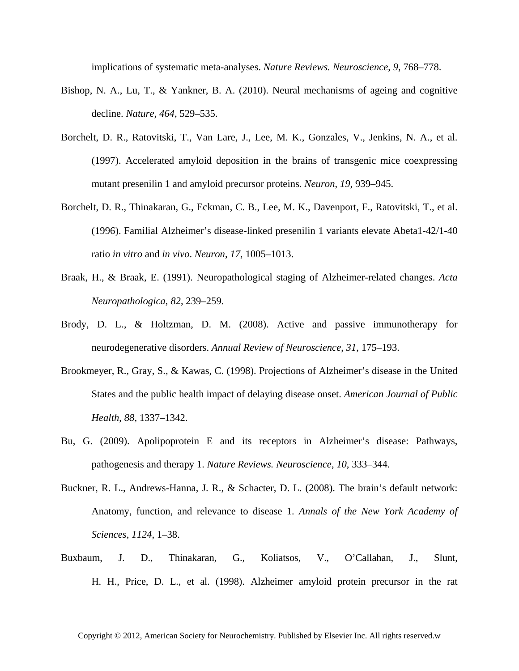implications of systematic meta-analyses. *Nature Reviews. Neuroscience*, *9*, 768–778.

- Bishop, N. A., Lu, T., & Yankner, B. A. (2010). Neural mechanisms of ageing and cognitive decline. *Nature*, *464*, 529–535.
- Borchelt, D. R., Ratovitski, T., Van Lare, J., Lee, M. K., Gonzales, V., Jenkins, N. A., et al. (1997). Accelerated amyloid deposition in the brains of transgenic mice coexpressing mutant presenilin 1 and amyloid precursor proteins. *Neuron*, *19*, 939–945.
- Borchelt, D. R., Thinakaran, G., Eckman, C. B., Lee, M. K., Davenport, F., Ratovitski, T., et al. (1996). Familial Alzheimer's disease-linked presenilin 1 variants elevate Abeta1-42/1-40 ratio *in vitro* and *in vivo*. *Neuron*, *17*, 1005–1013.
- Braak, H., & Braak, E. (1991). Neuropathological staging of Alzheimer-related changes. *Acta Neuropathologica*, *82*, 239–259.
- Brody, D. L., & Holtzman, D. M. (2008). Active and passive immunotherapy for neurodegenerative disorders. *Annual Review of Neuroscience*, *31*, 175–193.
- Brookmeyer, R., Gray, S., & Kawas, C. (1998). Projections of Alzheimer's disease in the United States and the public health impact of delaying disease onset. *American Journal of Public Health*, *88*, 1337–1342.
- Bu, G. (2009). Apolipoprotein E and its receptors in Alzheimer's disease: Pathways, pathogenesis and therapy 1. *Nature Reviews. Neuroscience*, *10*, 333–344.
- Buckner, R. L., Andrews-Hanna, J. R., & Schacter, D. L. (2008). The brain's default network: Anatomy, function, and relevance to disease 1. *Annals of the New York Academy of Sciences*, *1124*, 1–38.
- Buxbaum, J. D., Thinakaran, G., Koliatsos, V., O'Callahan, J., Slunt, H. H., Price, D. L., et al. (1998). Alzheimer amyloid protein precursor in the rat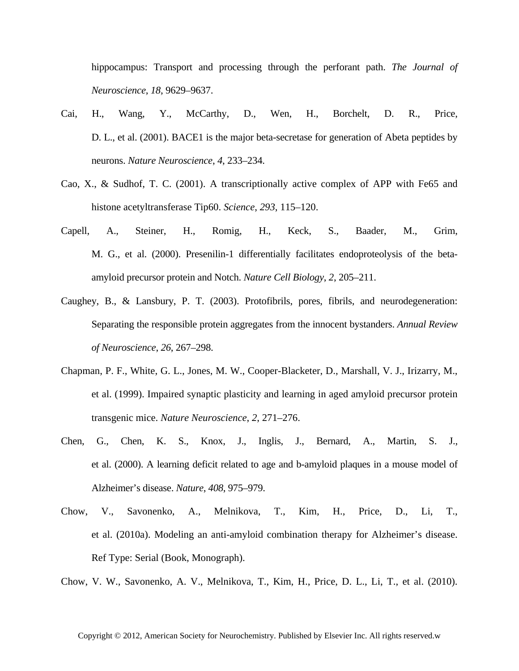hippocampus: Transport and processing through the perforant path. *The Journal of Neuroscience*, *18*, 9629–9637.

- Cai, H., Wang, Y., McCarthy, D., Wen, H., Borchelt, D. R., Price, D. L., et al. (2001). BACE1 is the major beta-secretase for generation of Abeta peptides by neurons. *Nature Neuroscience*, *4*, 233–234.
- Cao, X., & Sudhof, T. C. (2001). A transcriptionally active complex of APP with Fe65 and histone acetyltransferase Tip60. *Science*, *293*, 115–120.
- Capell, A., Steiner, H., Romig, H., Keck, S., Baader, M., Grim, M. G., et al. (2000). Presenilin-1 differentially facilitates endoproteolysis of the betaamyloid precursor protein and Notch. *Nature Cell Biology*, *2*, 205–211.
- Caughey, B., & Lansbury, P. T. (2003). Protofibrils, pores, fibrils, and neurodegeneration: Separating the responsible protein aggregates from the innocent bystanders. *Annual Review of Neuroscience*, *26*, 267–298.
- Chapman, P. F., White, G. L., Jones, M. W., Cooper-Blacketer, D., Marshall, V. J., Irizarry, M., et al. (1999). Impaired synaptic plasticity and learning in aged amyloid precursor protein transgenic mice. *Nature Neuroscience*, *2*, 271–276.
- Chen, G., Chen, K. S., Knox, J., Inglis, J., Bernard, A., Martin, S. J., et al. (2000). A learning deficit related to age and b-amyloid plaques in a mouse model of Alzheimer's disease. *Nature*, *408*, 975–979.
- Chow, V., Savonenko, A., Melnikova, T., Kim, H., Price, D., Li, T., et al. (2010a). Modeling an anti-amyloid combination therapy for Alzheimer's disease. Ref Type: Serial (Book, Monograph).

Chow, V. W., Savonenko, A. V., Melnikova, T., Kim, H., Price, D. L., Li, T., et al. (2010).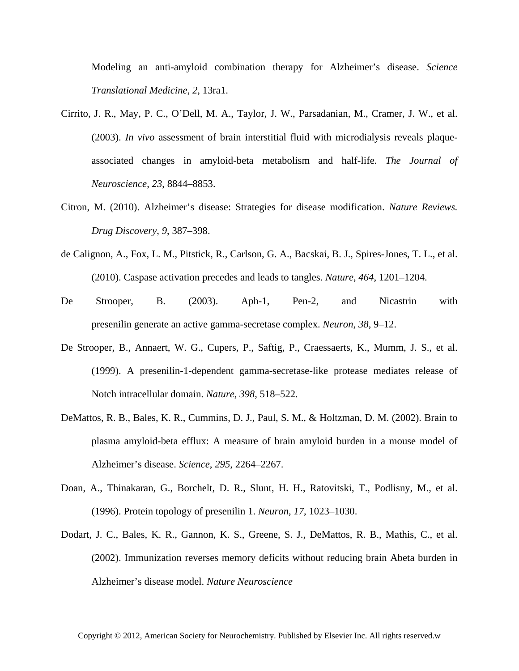Modeling an anti-amyloid combination therapy for Alzheimer's disease. *Science Translational Medicine*, *2*, 13ra1.

- Cirrito, J. R., May, P. C., O'Dell, M. A., Taylor, J. W., Parsadanian, M., Cramer, J. W., et al. (2003). *In vivo* assessment of brain interstitial fluid with microdialysis reveals plaqueassociated changes in amyloid-beta metabolism and half-life. *The Journal of Neuroscience*, *23*, 8844–8853.
- Citron, M. (2010). Alzheimer's disease: Strategies for disease modification. *Nature Reviews. Drug Discovery*, *9*, 387–398.
- de Calignon, A., Fox, L. M., Pitstick, R., Carlson, G. A., Bacskai, B. J., Spires-Jones, T. L., et al. (2010). Caspase activation precedes and leads to tangles. *Nature*, *464*, 1201–1204.
- De Strooper, B. (2003). Aph-1, Pen-2, and Nicastrin with presenilin generate an active gamma-secretase complex. *Neuron*, *38*, 9–12.
- De Strooper, B., Annaert, W. G., Cupers, P., Saftig, P., Craessaerts, K., Mumm, J. S., et al. (1999). A presenilin-1-dependent gamma-secretase-like protease mediates release of Notch intracellular domain. *Nature*, *398*, 518–522.
- DeMattos, R. B., Bales, K. R., Cummins, D. J., Paul, S. M., & Holtzman, D. M. (2002). Brain to plasma amyloid-beta efflux: A measure of brain amyloid burden in a mouse model of Alzheimer's disease. *Science*, *295*, 2264–2267.
- Doan, A., Thinakaran, G., Borchelt, D. R., Slunt, H. H., Ratovitski, T., Podlisny, M., et al. (1996). Protein topology of presenilin 1. *Neuron*, *17*, 1023–1030.
- Dodart, J. C., Bales, K. R., Gannon, K. S., Greene, S. J., DeMattos, R. B., Mathis, C., et al. (2002). Immunization reverses memory deficits without reducing brain Abeta burden in Alzheimer's disease model. *Nature Neuroscience*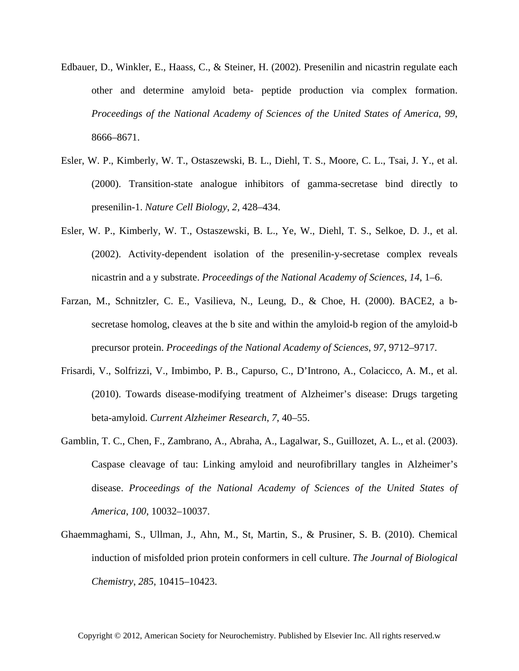- Edbauer, D., Winkler, E., Haass, C., & Steiner, H. (2002). Presenilin and nicastrin regulate each other and determine amyloid beta- peptide production via complex formation. *Proceedings of the National Academy of Sciences of the United States of America*, *99*, 8666–8671.
- Esler, W. P., Kimberly, W. T., Ostaszewski, B. L., Diehl, T. S., Moore, C. L., Tsai, J. Y., et al. (2000). Transition-state analogue inhibitors of gamma-secretase bind directly to presenilin-1. *Nature Cell Biology*, *2*, 428–434.
- Esler, W. P., Kimberly, W. T., Ostaszewski, B. L., Ye, W., Diehl, T. S., Selkoe, D. J., et al. (2002). Activity-dependent isolation of the presenilin-y-secretase complex reveals nicastrin and a y substrate. *Proceedings of the National Academy of Sciences*, *14*, 1–6.
- Farzan, M., Schnitzler, C. E., Vasilieva, N., Leung, D., & Choe, H. (2000). BACE2, a bsecretase homolog, cleaves at the b site and within the amyloid-b region of the amyloid-b precursor protein. *Proceedings of the National Academy of Sciences*, *97*, 9712–9717.
- Frisardi, V., Solfrizzi, V., Imbimbo, P. B., Capurso, C., D'Introno, A., Colacicco, A. M., et al. (2010). Towards disease-modifying treatment of Alzheimer's disease: Drugs targeting beta-amyloid. *Current Alzheimer Research*, *7*, 40–55.
- Gamblin, T. C., Chen, F., Zambrano, A., Abraha, A., Lagalwar, S., Guillozet, A. L., et al. (2003). Caspase cleavage of tau: Linking amyloid and neurofibrillary tangles in Alzheimer's disease. *Proceedings of the National Academy of Sciences of the United States of America*, *100*, 10032–10037.
- Ghaemmaghami, S., Ullman, J., Ahn, M., St, Martin, S., & Prusiner, S. B. (2010). Chemical induction of misfolded prion protein conformers in cell culture. *The Journal of Biological Chemistry*, *285*, 10415–10423.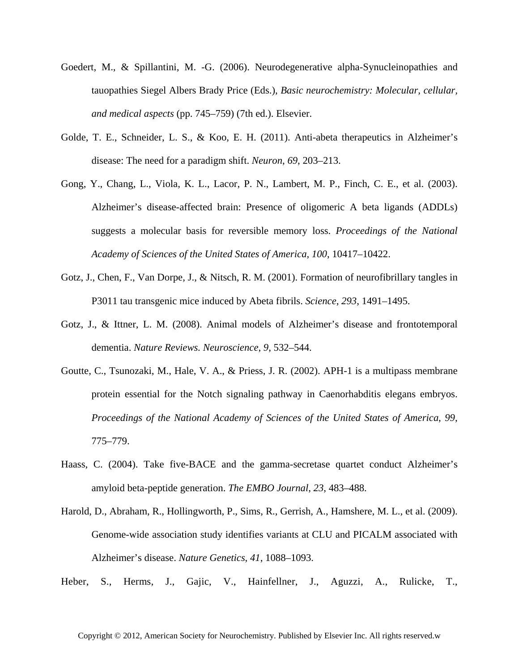- Goedert, M., & Spillantini, M. -G. (2006). Neurodegenerative alpha-Synucleinopathies and tauopathies Siegel Albers Brady Price (Eds.), *Basic neurochemistry: Molecular, cellular, and medical aspects* (pp. 745–759) (7th ed.). Elsevier.
- Golde, T. E., Schneider, L. S., & Koo, E. H. (2011). Anti-abeta therapeutics in Alzheimer's disease: The need for a paradigm shift. *Neuron*, *69*, 203–213.
- Gong, Y., Chang, L., Viola, K. L., Lacor, P. N., Lambert, M. P., Finch, C. E., et al. (2003). Alzheimer's disease-affected brain: Presence of oligomeric A beta ligands (ADDLs) suggests a molecular basis for reversible memory loss. *Proceedings of the National Academy of Sciences of the United States of America*, *100*, 10417–10422.
- Gotz, J., Chen, F., Van Dorpe, J., & Nitsch, R. M. (2001). Formation of neurofibrillary tangles in P3011 tau transgenic mice induced by Abeta fibrils. *Science*, *293*, 1491–1495.
- Gotz, J., & Ittner, L. M. (2008). Animal models of Alzheimer's disease and frontotemporal dementia. *Nature Reviews. Neuroscience*, *9*, 532–544.
- Goutte, C., Tsunozaki, M., Hale, V. A., & Priess, J. R. (2002). APH-1 is a multipass membrane protein essential for the Notch signaling pathway in Caenorhabditis elegans embryos. *Proceedings of the National Academy of Sciences of the United States of America*, *99*, 775–779.
- Haass, C. (2004). Take five-BACE and the gamma-secretase quartet conduct Alzheimer's amyloid beta-peptide generation. *The EMBO Journal*, *23*, 483–488.
- Harold, D., Abraham, R., Hollingworth, P., Sims, R., Gerrish, A., Hamshere, M. L., et al. (2009). Genome-wide association study identifies variants at CLU and PICALM associated with Alzheimer's disease. *Nature Genetics*, *41*, 1088–1093.
- Heber, S., Herms, J., Gajic, V., Hainfellner, J., Aguzzi, A., Rulicke, T.,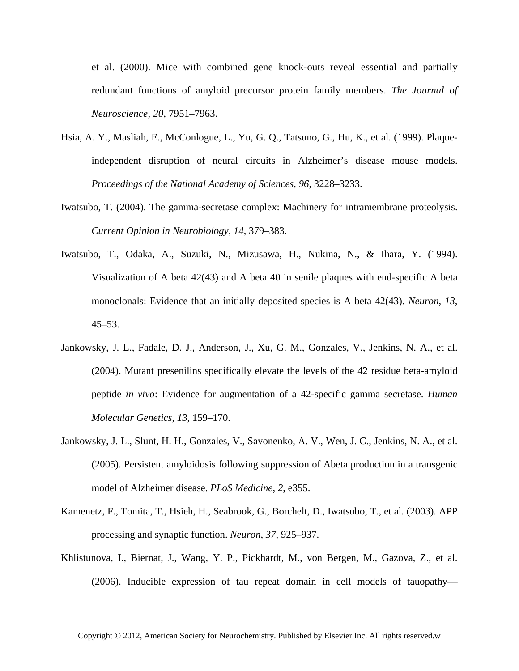et al. (2000). Mice with combined gene knock-outs reveal essential and partially redundant functions of amyloid precursor protein family members. *The Journal of Neuroscience*, *20*, 7951–7963.

- Hsia, A. Y., Masliah, E., McConlogue, L., Yu, G. Q., Tatsuno, G., Hu, K., et al. (1999). Plaqueindependent disruption of neural circuits in Alzheimer's disease mouse models. *Proceedings of the National Academy of Sciences*, *96*, 3228–3233.
- Iwatsubo, T. (2004). The gamma-secretase complex: Machinery for intramembrane proteolysis. *Current Opinion in Neurobiology*, *14*, 379–383.
- Iwatsubo, T., Odaka, A., Suzuki, N., Mizusawa, H., Nukina, N., & Ihara, Y. (1994). Visualization of A beta 42(43) and A beta 40 in senile plaques with end-specific A beta monoclonals: Evidence that an initially deposited species is A beta 42(43). *Neuron*, *13*, 45–53.
- Jankowsky, J. L., Fadale, D. J., Anderson, J., Xu, G. M., Gonzales, V., Jenkins, N. A., et al. (2004). Mutant presenilins specifically elevate the levels of the 42 residue beta-amyloid peptide *in vivo*: Evidence for augmentation of a 42-specific gamma secretase. *Human Molecular Genetics*, *13*, 159–170.
- Jankowsky, J. L., Slunt, H. H., Gonzales, V., Savonenko, A. V., Wen, J. C., Jenkins, N. A., et al. (2005). Persistent amyloidosis following suppression of Abeta production in a transgenic model of Alzheimer disease. *PLoS Medicine*, *2*, e355.
- Kamenetz, F., Tomita, T., Hsieh, H., Seabrook, G., Borchelt, D., Iwatsubo, T., et al. (2003). APP processing and synaptic function. *Neuron*, *37*, 925–937.
- Khlistunova, I., Biernat, J., Wang, Y. P., Pickhardt, M., von Bergen, M., Gazova, Z., et al. (2006). Inducible expression of tau repeat domain in cell models of tauopathy—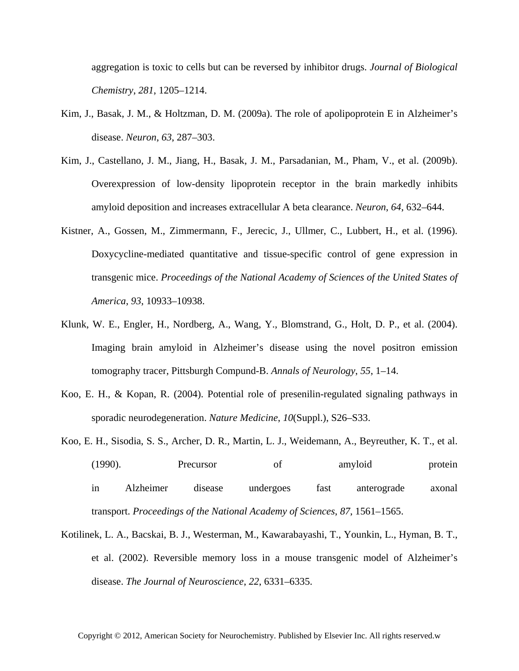aggregation is toxic to cells but can be reversed by inhibitor drugs. *Journal of Biological Chemistry*, *281*, 1205–1214.

- Kim, J., Basak, J. M., & Holtzman, D. M. (2009a). The role of apolipoprotein E in Alzheimer's disease. *Neuron*, *63*, 287–303.
- Kim, J., Castellano, J. M., Jiang, H., Basak, J. M., Parsadanian, M., Pham, V., et al. (2009b). Overexpression of low-density lipoprotein receptor in the brain markedly inhibits amyloid deposition and increases extracellular A beta clearance. *Neuron*, *64*, 632–644.
- Kistner, A., Gossen, M., Zimmermann, F., Jerecic, J., Ullmer, C., Lubbert, H., et al. (1996). Doxycycline-mediated quantitative and tissue-specific control of gene expression in transgenic mice. *Proceedings of the National Academy of Sciences of the United States of America*, *93*, 10933–10938.
- Klunk, W. E., Engler, H., Nordberg, A., Wang, Y., Blomstrand, G., Holt, D. P., et al. (2004). Imaging brain amyloid in Alzheimer's disease using the novel positron emission tomography tracer, Pittsburgh Compund-B. *Annals of Neurology*, *55*, 1–14.
- Koo, E. H., & Kopan, R. (2004). Potential role of presenilin-regulated signaling pathways in sporadic neurodegeneration. *Nature Medicine*, *10*(Suppl.), S26–S33.
- Koo, E. H., Sisodia, S. S., Archer, D. R., Martin, L. J., Weidemann, A., Beyreuther, K. T., et al. (1990). Precursor of amyloid protein in Alzheimer disease undergoes fast anterograde axonal transport. *Proceedings of the National Academy of Sciences*, *87*, 1561–1565.
- Kotilinek, L. A., Bacskai, B. J., Westerman, M., Kawarabayashi, T., Younkin, L., Hyman, B. T., et al. (2002). Reversible memory loss in a mouse transgenic model of Alzheimer's disease. *The Journal of Neuroscience*, *22*, 6331–6335.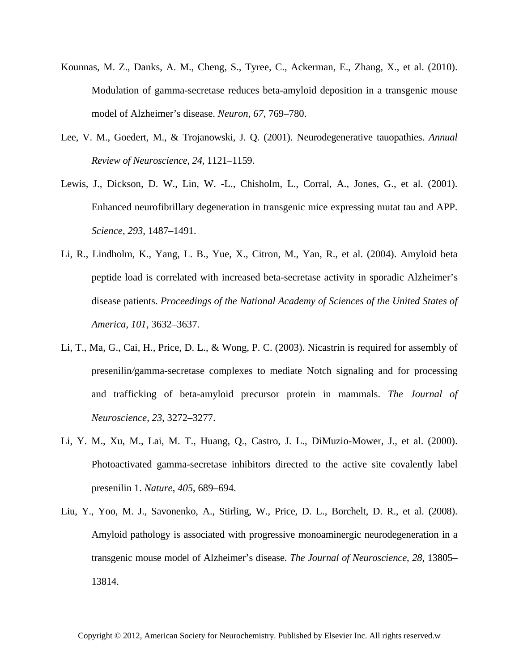- Kounnas, M. Z., Danks, A. M., Cheng, S., Tyree, C., Ackerman, E., Zhang, X., et al. (2010). Modulation of gamma-secretase reduces beta-amyloid deposition in a transgenic mouse model of Alzheimer's disease. *Neuron*, *67*, 769–780.
- Lee, V. M., Goedert, M., & Trojanowski, J. Q. (2001). Neurodegenerative tauopathies. *Annual Review of Neuroscience*, *24*, 1121–1159.
- Lewis, J., Dickson, D. W., Lin, W. -L., Chisholm, L., Corral, A., Jones, G., et al. (2001). Enhanced neurofibrillary degeneration in transgenic mice expressing mutat tau and APP. *Science*, *293*, 1487–1491.
- Li, R., Lindholm, K., Yang, L. B., Yue, X., Citron, M., Yan, R., et al. (2004). Amyloid beta peptide load is correlated with increased beta-secretase activity in sporadic Alzheimer's disease patients. *Proceedings of the National Academy of Sciences of the United States of America*, *101*, 3632–3637.
- Li, T., Ma, G., Cai, H., Price, D. L., & Wong, P. C. (2003). Nicastrin is required for assembly of presenilin*/*gamma-secretase complexes to mediate Notch signaling and for processing and trafficking of beta-amyloid precursor protein in mammals. *The Journal of Neuroscience*, *23*, 3272–3277.
- Li, Y. M., Xu, M., Lai, M. T., Huang, Q., Castro, J. L., DiMuzio-Mower, J., et al. (2000). Photoactivated gamma-secretase inhibitors directed to the active site covalently label presenilin 1. *Nature*, *405*, 689–694.
- Liu, Y., Yoo, M. J., Savonenko, A., Stirling, W., Price, D. L., Borchelt, D. R., et al. (2008). Amyloid pathology is associated with progressive monoaminergic neurodegeneration in a transgenic mouse model of Alzheimer's disease. *The Journal of Neuroscience*, *28*, 13805– 13814.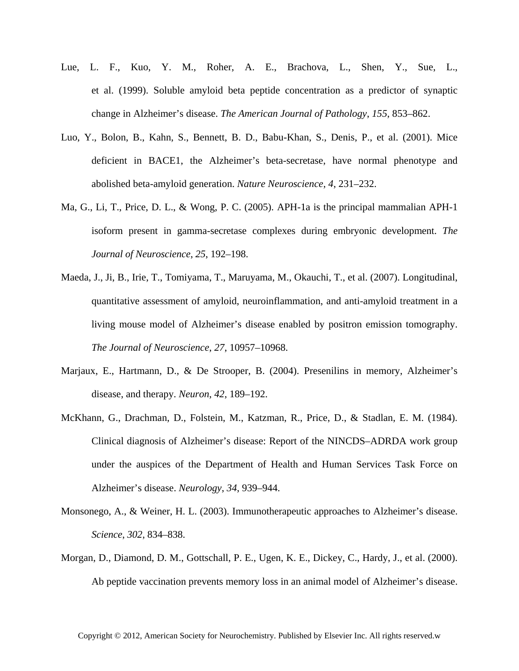- Lue, L. F., Kuo, Y. M., Roher, A. E., Brachova, L., Shen, Y., Sue, L., et al. (1999). Soluble amyloid beta peptide concentration as a predictor of synaptic change in Alzheimer's disease. *The American Journal of Pathology*, *155*, 853–862.
- Luo, Y., Bolon, B., Kahn, S., Bennett, B. D., Babu-Khan, S., Denis, P., et al. (2001). Mice deficient in BACE1, the Alzheimer's beta-secretase, have normal phenotype and abolished beta-amyloid generation. *Nature Neuroscience*, *4*, 231–232.
- Ma, G., Li, T., Price, D. L., & Wong, P. C. (2005). APH-1a is the principal mammalian APH-1 isoform present in gamma-secretase complexes during embryonic development. *The Journal of Neuroscience*, *25*, 192–198.
- Maeda, J., Ji, B., Irie, T., Tomiyama, T., Maruyama, M., Okauchi, T., et al. (2007). Longitudinal, quantitative assessment of amyloid, neuroinflammation, and anti-amyloid treatment in a living mouse model of Alzheimer's disease enabled by positron emission tomography. *The Journal of Neuroscience*, *27*, 10957–10968.
- Marjaux, E., Hartmann, D., & De Strooper, B. (2004). Presenilins in memory, Alzheimer's disease, and therapy. *Neuron*, *42*, 189–192.
- McKhann, G., Drachman, D., Folstein, M., Katzman, R., Price, D., & Stadlan, E. M. (1984). Clinical diagnosis of Alzheimer's disease: Report of the NINCDS–ADRDA work group under the auspices of the Department of Health and Human Services Task Force on Alzheimer's disease. *Neurology*, *34*, 939–944.
- Monsonego, A., & Weiner, H. L. (2003). Immunotherapeutic approaches to Alzheimer's disease. *Science*, *302*, 834–838.
- Morgan, D., Diamond, D. M., Gottschall, P. E., Ugen, K. E., Dickey, C., Hardy, J., et al. (2000). Ab peptide vaccination prevents memory loss in an animal model of Alzheimer's disease.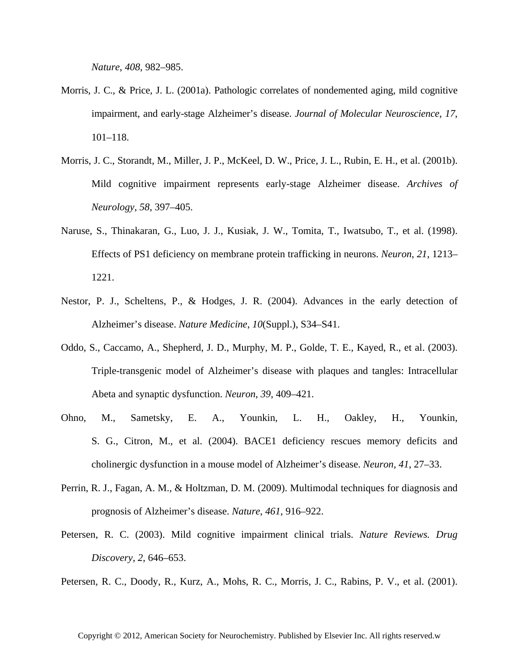*Nature*, *408*, 982–985.

- Morris, J. C., & Price, J. L. (2001a). Pathologic correlates of nondemented aging, mild cognitive impairment, and early-stage Alzheimer's disease. *Journal of Molecular Neuroscience*, *17*, 101–118.
- Morris, J. C., Storandt, M., Miller, J. P., McKeel, D. W., Price, J. L., Rubin, E. H., et al. (2001b). Mild cognitive impairment represents early-stage Alzheimer disease. *Archives of Neurology*, *58*, 397–405.
- Naruse, S., Thinakaran, G., Luo, J. J., Kusiak, J. W., Tomita, T., Iwatsubo, T., et al. (1998). Effects of PS1 deficiency on membrane protein trafficking in neurons. *Neuron*, *21*, 1213– 1221.
- Nestor, P. J., Scheltens, P., & Hodges, J. R. (2004). Advances in the early detection of Alzheimer's disease. *Nature Medicine*, *10*(Suppl.), S34–S41.
- Oddo, S., Caccamo, A., Shepherd, J. D., Murphy, M. P., Golde, T. E., Kayed, R., et al. (2003). Triple-transgenic model of Alzheimer's disease with plaques and tangles: Intracellular Abeta and synaptic dysfunction. *Neuron*, *39*, 409–421.
- Ohno, M., Sametsky, E. A., Younkin, L. H., Oakley, H., Younkin, S. G., Citron, M., et al. (2004). BACE1 deficiency rescues memory deficits and cholinergic dysfunction in a mouse model of Alzheimer's disease. *Neuron*, *41*, 27–33.
- Perrin, R. J., Fagan, A. M., & Holtzman, D. M. (2009). Multimodal techniques for diagnosis and prognosis of Alzheimer's disease. *Nature*, *461*, 916–922.
- Petersen, R. C. (2003). Mild cognitive impairment clinical trials. *Nature Reviews. Drug Discovery*, *2*, 646–653.

Petersen, R. C., Doody, R., Kurz, A., Mohs, R. C., Morris, J. C., Rabins, P. V., et al. (2001).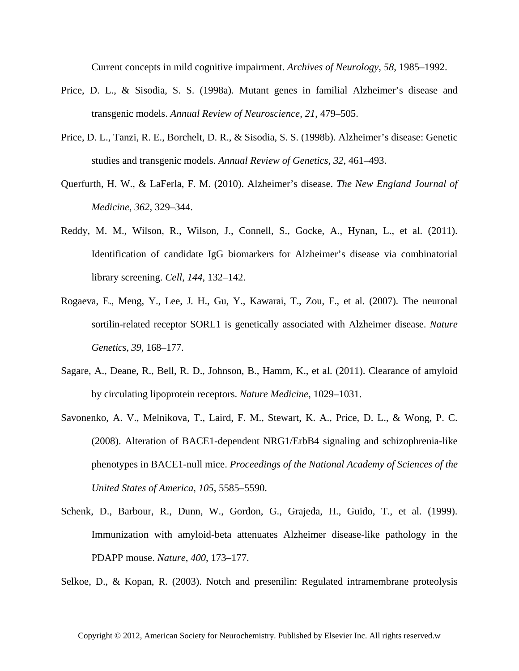Current concepts in mild cognitive impairment. *Archives of Neurology*, *58*, 1985–1992.

- Price, D. L., & Sisodia, S. S. (1998a). Mutant genes in familial Alzheimer's disease and transgenic models. *Annual Review of Neuroscience*, *21*, 479–505.
- Price, D. L., Tanzi, R. E., Borchelt, D. R., & Sisodia, S. S. (1998b). Alzheimer's disease: Genetic studies and transgenic models. *Annual Review of Genetics*, *32*, 461–493.
- Querfurth, H. W., & LaFerla, F. M. (2010). Alzheimer's disease. *The New England Journal of Medicine*, *362*, 329–344.
- Reddy, M. M., Wilson, R., Wilson, J., Connell, S., Gocke, A., Hynan, L., et al. (2011). Identification of candidate IgG biomarkers for Alzheimer's disease via combinatorial library screening. *Cell*, *144*, 132–142.
- Rogaeva, E., Meng, Y., Lee, J. H., Gu, Y., Kawarai, T., Zou, F., et al. (2007). The neuronal sortilin-related receptor SORL1 is genetically associated with Alzheimer disease. *Nature Genetics*, *39*, 168–177.
- Sagare, A., Deane, R., Bell, R. D., Johnson, B., Hamm, K., et al. (2011). Clearance of amyloid by circulating lipoprotein receptors. *Nature Medicine*, 1029–1031.
- Savonenko, A. V., Melnikova, T., Laird, F. M., Stewart, K. A., Price, D. L., & Wong, P. C. (2008). Alteration of BACE1-dependent NRG1/ErbB4 signaling and schizophrenia-like phenotypes in BACE1-null mice. *Proceedings of the National Academy of Sciences of the United States of America*, *105*, 5585–5590.
- Schenk, D., Barbour, R., Dunn, W., Gordon, G., Grajeda, H., Guido, T., et al. (1999). Immunization with amyloid-beta attenuates Alzheimer disease-like pathology in the PDAPP mouse. *Nature*, *400*, 173–177.

Selkoe, D., & Kopan, R. (2003). Notch and presenilin: Regulated intramembrane proteolysis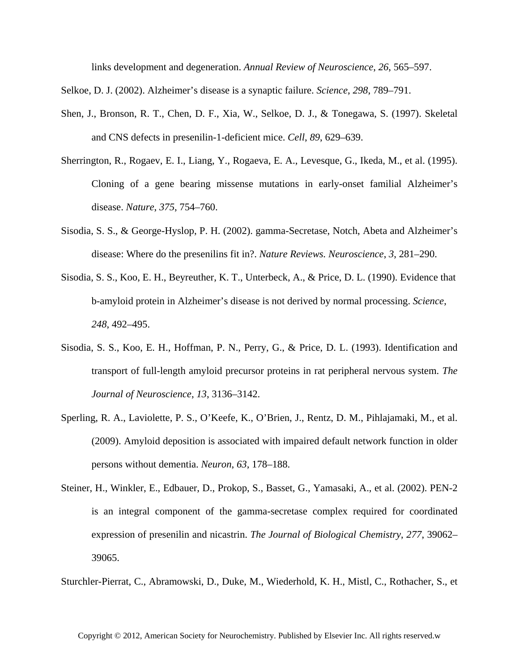links development and degeneration. *Annual Review of Neuroscience*, *26*, 565–597.

Selkoe, D. J. (2002). Alzheimer's disease is a synaptic failure. *Science*, *298*, 789–791.

- Shen, J., Bronson, R. T., Chen, D. F., Xia, W., Selkoe, D. J., & Tonegawa, S. (1997). Skeletal and CNS defects in presenilin-1-deficient mice. *Cell*, *89*, 629–639.
- Sherrington, R., Rogaev, E. I., Liang, Y., Rogaeva, E. A., Levesque, G., Ikeda, M., et al. (1995). Cloning of a gene bearing missense mutations in early-onset familial Alzheimer's disease. *Nature*, *375*, 754–760.
- Sisodia, S. S., & George-Hyslop, P. H. (2002). gamma-Secretase, Notch, Abeta and Alzheimer's disease: Where do the presenilins fit in?. *Nature Reviews. Neuroscience*, *3*, 281–290.
- Sisodia, S. S., Koo, E. H., Beyreuther, K. T., Unterbeck, A., & Price, D. L. (1990). Evidence that b-amyloid protein in Alzheimer's disease is not derived by normal processing. *Science*, *248*, 492–495.
- Sisodia, S. S., Koo, E. H., Hoffman, P. N., Perry, G., & Price, D. L. (1993). Identification and transport of full-length amyloid precursor proteins in rat peripheral nervous system. *The Journal of Neuroscience*, *13*, 3136–3142.
- Sperling, R. A., Laviolette, P. S., O'Keefe, K., O'Brien, J., Rentz, D. M., Pihlajamaki, M., et al. (2009). Amyloid deposition is associated with impaired default network function in older persons without dementia. *Neuron*, *63*, 178–188.
- Steiner, H., Winkler, E., Edbauer, D., Prokop, S., Basset, G., Yamasaki, A., et al. (2002). PEN-2 is an integral component of the gamma-secretase complex required for coordinated expression of presenilin and nicastrin. *The Journal of Biological Chemistry*, *277*, 39062– 39065.

Sturchler-Pierrat, C., Abramowski, D., Duke, M., Wiederhold, K. H., Mistl, C., Rothacher, S., et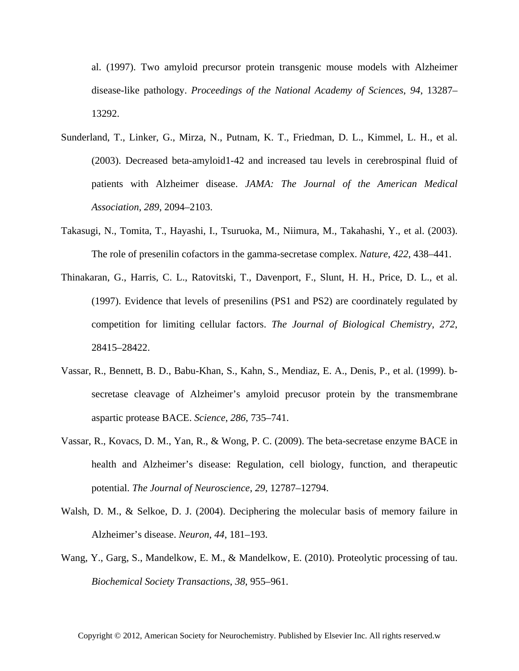al. (1997). Two amyloid precursor protein transgenic mouse models with Alzheimer disease-like pathology. *Proceedings of the National Academy of Sciences*, *94*, 13287– 13292.

- Sunderland, T., Linker, G., Mirza, N., Putnam, K. T., Friedman, D. L., Kimmel, L. H., et al. (2003). Decreased beta-amyloid1-42 and increased tau levels in cerebrospinal fluid of patients with Alzheimer disease. *JAMA: The Journal of the American Medical Association*, *289*, 2094–2103.
- Takasugi, N., Tomita, T., Hayashi, I., Tsuruoka, M., Niimura, M., Takahashi, Y., et al. (2003). The role of presenilin cofactors in the gamma-secretase complex. *Nature*, *422*, 438–441.
- Thinakaran, G., Harris, C. L., Ratovitski, T., Davenport, F., Slunt, H. H., Price, D. L., et al. (1997). Evidence that levels of presenilins (PS1 and PS2) are coordinately regulated by competition for limiting cellular factors. *The Journal of Biological Chemistry*, *272*, 28415–28422.
- Vassar, R., Bennett, B. D., Babu-Khan, S., Kahn, S., Mendiaz, E. A., Denis, P., et al. (1999). bsecretase cleavage of Alzheimer's amyloid precusor protein by the transmembrane aspartic protease BACE. *Science*, *286*, 735–741.
- Vassar, R., Kovacs, D. M., Yan, R., & Wong, P. C. (2009). The beta-secretase enzyme BACE in health and Alzheimer's disease: Regulation, cell biology, function, and therapeutic potential. *The Journal of Neuroscience*, *29*, 12787–12794.
- Walsh, D. M., & Selkoe, D. J. (2004). Deciphering the molecular basis of memory failure in Alzheimer's disease. *Neuron*, *44*, 181–193.
- Wang, Y., Garg, S., Mandelkow, E. M., & Mandelkow, E. (2010). Proteolytic processing of tau. *Biochemical Society Transactions*, *38*, 955–961.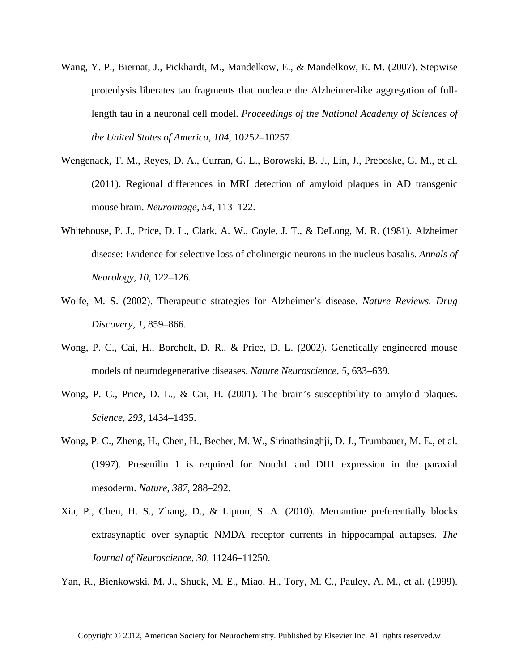- Wang, Y. P., Biernat, J., Pickhardt, M., Mandelkow, E., & Mandelkow, E. M. (2007). Stepwise proteolysis liberates tau fragments that nucleate the Alzheimer-like aggregation of fulllength tau in a neuronal cell model. *Proceedings of the National Academy of Sciences of the United States of America*, *104*, 10252–10257.
- Wengenack, T. M., Reyes, D. A., Curran, G. L., Borowski, B. J., Lin, J., Preboske, G. M., et al. (2011). Regional differences in MRI detection of amyloid plaques in AD transgenic mouse brain. *Neuroimage*, *54*, 113–122.
- Whitehouse, P. J., Price, D. L., Clark, A. W., Coyle, J. T., & DeLong, M. R. (1981). Alzheimer disease: Evidence for selective loss of cholinergic neurons in the nucleus basalis. *Annals of Neurology*, *10*, 122–126.
- Wolfe, M. S. (2002). Therapeutic strategies for Alzheimer's disease. *Nature Reviews. Drug Discovery*, *1*, 859–866.
- Wong, P. C., Cai, H., Borchelt, D. R., & Price, D. L. (2002). Genetically engineered mouse models of neurodegenerative diseases. *Nature Neuroscience*, *5*, 633–639.
- Wong, P. C., Price, D. L., & Cai, H. (2001). The brain's susceptibility to amyloid plaques. *Science*, *293*, 1434–1435.
- Wong, P. C., Zheng, H., Chen, H., Becher, M. W., Sirinathsinghji, D. J., Trumbauer, M. E., et al. (1997). Presenilin 1 is required for Notch1 and DII1 expression in the paraxial mesoderm. *Nature*, *387*, 288–292.
- Xia, P., Chen, H. S., Zhang, D., & Lipton, S. A. (2010). Memantine preferentially blocks extrasynaptic over synaptic NMDA receptor currents in hippocampal autapses. *The Journal of Neuroscience*, *30*, 11246–11250.

Yan, R., Bienkowski, M. J., Shuck, M. E., Miao, H., Tory, M. C., Pauley, A. M., et al. (1999).